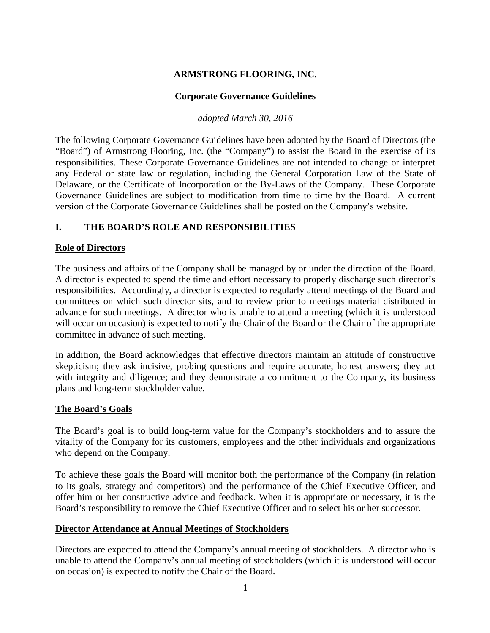# **ARMSTRONG FLOORING, INC.**

### **Corporate Governance Guidelines**

*adopted March 30, 2016*

The following Corporate Governance Guidelines have been adopted by the Board of Directors (the "Board") of Armstrong Flooring, Inc. (the "Company") to assist the Board in the exercise of its responsibilities. These Corporate Governance Guidelines are not intended to change or interpret any Federal or state law or regulation, including the General Corporation Law of the State of Delaware, or the Certificate of Incorporation or the By-Laws of the Company. These Corporate Governance Guidelines are subject to modification from time to time by the Board. A current version of the Corporate Governance Guidelines shall be posted on the Company's website.

## **I. THE BOARD'S ROLE AND RESPONSIBILITIES**

#### **Role of Directors**

The business and affairs of the Company shall be managed by or under the direction of the Board. A director is expected to spend the time and effort necessary to properly discharge such director's responsibilities. Accordingly, a director is expected to regularly attend meetings of the Board and committees on which such director sits, and to review prior to meetings material distributed in advance for such meetings. A director who is unable to attend a meeting (which it is understood will occur on occasion) is expected to notify the Chair of the Board or the Chair of the appropriate committee in advance of such meeting.

In addition, the Board acknowledges that effective directors maintain an attitude of constructive skepticism; they ask incisive, probing questions and require accurate, honest answers; they act with integrity and diligence; and they demonstrate a commitment to the Company, its business plans and long-term stockholder value.

### **The Board's Goals**

The Board's goal is to build long-term value for the Company's stockholders and to assure the vitality of the Company for its customers, employees and the other individuals and organizations who depend on the Company.

To achieve these goals the Board will monitor both the performance of the Company (in relation to its goals, strategy and competitors) and the performance of the Chief Executive Officer, and offer him or her constructive advice and feedback. When it is appropriate or necessary, it is the Board's responsibility to remove the Chief Executive Officer and to select his or her successor.

### **Director Attendance at Annual Meetings of Stockholders**

Directors are expected to attend the Company's annual meeting of stockholders. A director who is unable to attend the Company's annual meeting of stockholders (which it is understood will occur on occasion) is expected to notify the Chair of the Board.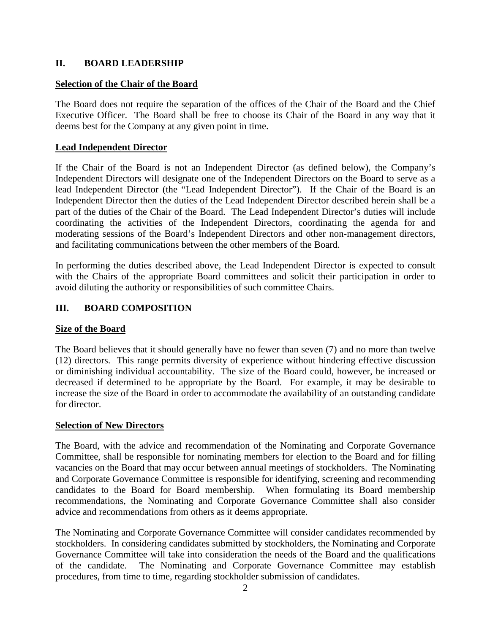## **II. BOARD LEADERSHIP**

### **Selection of the Chair of the Board**

The Board does not require the separation of the offices of the Chair of the Board and the Chief Executive Officer. The Board shall be free to choose its Chair of the Board in any way that it deems best for the Company at any given point in time.

## **Lead Independent Director**

If the Chair of the Board is not an Independent Director (as defined below), the Company's Independent Directors will designate one of the Independent Directors on the Board to serve as a lead Independent Director (the "Lead Independent Director"). If the Chair of the Board is an Independent Director then the duties of the Lead Independent Director described herein shall be a part of the duties of the Chair of the Board. The Lead Independent Director's duties will include coordinating the activities of the Independent Directors, coordinating the agenda for and moderating sessions of the Board's Independent Directors and other non-management directors, and facilitating communications between the other members of the Board.

In performing the duties described above, the Lead Independent Director is expected to consult with the Chairs of the appropriate Board committees and solicit their participation in order to avoid diluting the authority or responsibilities of such committee Chairs.

# **III. BOARD COMPOSITION**

### **Size of the Board**

The Board believes that it should generally have no fewer than seven (7) and no more than twelve (12) directors. This range permits diversity of experience without hindering effective discussion or diminishing individual accountability. The size of the Board could, however, be increased or decreased if determined to be appropriate by the Board. For example, it may be desirable to increase the size of the Board in order to accommodate the availability of an outstanding candidate for director.

### **Selection of New Directors**

The Board, with the advice and recommendation of the Nominating and Corporate Governance Committee, shall be responsible for nominating members for election to the Board and for filling vacancies on the Board that may occur between annual meetings of stockholders. The Nominating and Corporate Governance Committee is responsible for identifying, screening and recommending candidates to the Board for Board membership. When formulating its Board membership recommendations, the Nominating and Corporate Governance Committee shall also consider advice and recommendations from others as it deems appropriate.

The Nominating and Corporate Governance Committee will consider candidates recommended by stockholders. In considering candidates submitted by stockholders, the Nominating and Corporate Governance Committee will take into consideration the needs of the Board and the qualifications of the candidate. The Nominating and Corporate Governance Committee may establish procedures, from time to time, regarding stockholder submission of candidates.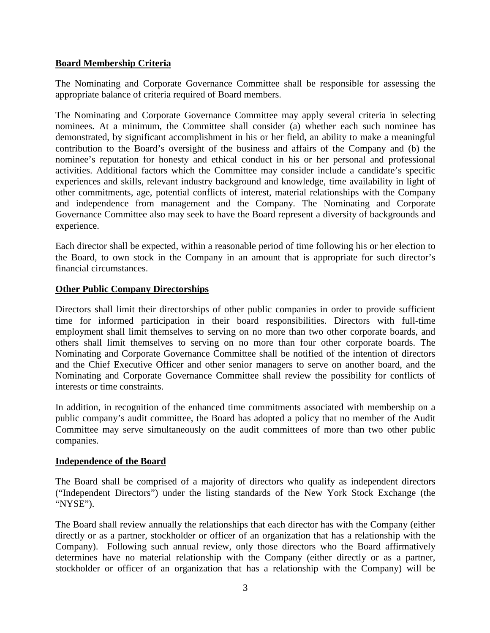## **Board Membership Criteria**

The Nominating and Corporate Governance Committee shall be responsible for assessing the appropriate balance of criteria required of Board members.

The Nominating and Corporate Governance Committee may apply several criteria in selecting nominees. At a minimum, the Committee shall consider (a) whether each such nominee has demonstrated, by significant accomplishment in his or her field, an ability to make a meaningful contribution to the Board's oversight of the business and affairs of the Company and (b) the nominee's reputation for honesty and ethical conduct in his or her personal and professional activities. Additional factors which the Committee may consider include a candidate's specific experiences and skills, relevant industry background and knowledge, time availability in light of other commitments, age, potential conflicts of interest, material relationships with the Company and independence from management and the Company. The Nominating and Corporate Governance Committee also may seek to have the Board represent a diversity of backgrounds and experience.

Each director shall be expected, within a reasonable period of time following his or her election to the Board, to own stock in the Company in an amount that is appropriate for such director's financial circumstances.

### **Other Public Company Directorships**

Directors shall limit their directorships of other public companies in order to provide sufficient time for informed participation in their board responsibilities. Directors with full-time employment shall limit themselves to serving on no more than two other corporate boards, and others shall limit themselves to serving on no more than four other corporate boards. The Nominating and Corporate Governance Committee shall be notified of the intention of directors and the Chief Executive Officer and other senior managers to serve on another board, and the Nominating and Corporate Governance Committee shall review the possibility for conflicts of interests or time constraints.

In addition, in recognition of the enhanced time commitments associated with membership on a public company's audit committee, the Board has adopted a policy that no member of the Audit Committee may serve simultaneously on the audit committees of more than two other public companies.

### **Independence of the Board**

The Board shall be comprised of a majority of directors who qualify as independent directors ("Independent Directors") under the listing standards of the New York Stock Exchange (the "NYSE").

The Board shall review annually the relationships that each director has with the Company (either directly or as a partner, stockholder or officer of an organization that has a relationship with the Company). Following such annual review, only those directors who the Board affirmatively determines have no material relationship with the Company (either directly or as a partner, stockholder or officer of an organization that has a relationship with the Company) will be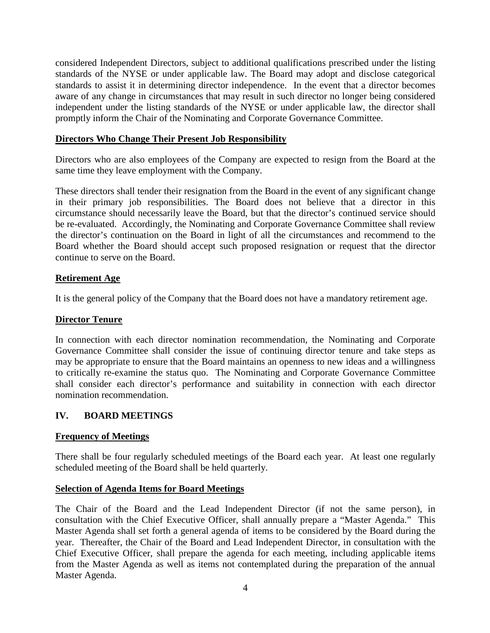considered Independent Directors, subject to additional qualifications prescribed under the listing standards of the NYSE or under applicable law. The Board may adopt and disclose categorical standards to assist it in determining director independence. In the event that a director becomes aware of any change in circumstances that may result in such director no longer being considered independent under the listing standards of the NYSE or under applicable law, the director shall promptly inform the Chair of the Nominating and Corporate Governance Committee.

### **Directors Who Change Their Present Job Responsibility**

Directors who are also employees of the Company are expected to resign from the Board at the same time they leave employment with the Company.

These directors shall tender their resignation from the Board in the event of any significant change in their primary job responsibilities. The Board does not believe that a director in this circumstance should necessarily leave the Board, but that the director's continued service should be re-evaluated. Accordingly, the Nominating and Corporate Governance Committee shall review the director's continuation on the Board in light of all the circumstances and recommend to the Board whether the Board should accept such proposed resignation or request that the director continue to serve on the Board.

## **Retirement Age**

It is the general policy of the Company that the Board does not have a mandatory retirement age.

### **Director Tenure**

In connection with each director nomination recommendation, the Nominating and Corporate Governance Committee shall consider the issue of continuing director tenure and take steps as may be appropriate to ensure that the Board maintains an openness to new ideas and a willingness to critically re-examine the status quo. The Nominating and Corporate Governance Committee shall consider each director's performance and suitability in connection with each director nomination recommendation.

# **IV. BOARD MEETINGS**

### **Frequency of Meetings**

There shall be four regularly scheduled meetings of the Board each year. At least one regularly scheduled meeting of the Board shall be held quarterly.

### **Selection of Agenda Items for Board Meetings**

The Chair of the Board and the Lead Independent Director (if not the same person), in consultation with the Chief Executive Officer, shall annually prepare a "Master Agenda." This Master Agenda shall set forth a general agenda of items to be considered by the Board during the year. Thereafter, the Chair of the Board and Lead Independent Director, in consultation with the Chief Executive Officer, shall prepare the agenda for each meeting, including applicable items from the Master Agenda as well as items not contemplated during the preparation of the annual Master Agenda.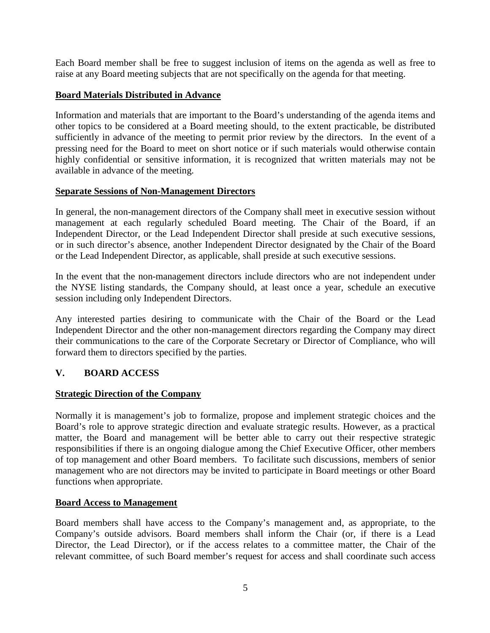Each Board member shall be free to suggest inclusion of items on the agenda as well as free to raise at any Board meeting subjects that are not specifically on the agenda for that meeting.

# **Board Materials Distributed in Advance**

Information and materials that are important to the Board's understanding of the agenda items and other topics to be considered at a Board meeting should, to the extent practicable, be distributed sufficiently in advance of the meeting to permit prior review by the directors. In the event of a pressing need for the Board to meet on short notice or if such materials would otherwise contain highly confidential or sensitive information, it is recognized that written materials may not be available in advance of the meeting.

### **Separate Sessions of Non-Management Directors**

In general, the non-management directors of the Company shall meet in executive session without management at each regularly scheduled Board meeting. The Chair of the Board, if an Independent Director, or the Lead Independent Director shall preside at such executive sessions, or in such director's absence, another Independent Director designated by the Chair of the Board or the Lead Independent Director, as applicable, shall preside at such executive sessions.

In the event that the non-management directors include directors who are not independent under the NYSE listing standards, the Company should, at least once a year, schedule an executive session including only Independent Directors.

Any interested parties desiring to communicate with the Chair of the Board or the Lead Independent Director and the other non-management directors regarding the Company may direct their communications to the care of the Corporate Secretary or Director of Compliance, who will forward them to directors specified by the parties.

# **V. BOARD ACCESS**

# **Strategic Direction of the Company**

Normally it is management's job to formalize, propose and implement strategic choices and the Board's role to approve strategic direction and evaluate strategic results. However, as a practical matter, the Board and management will be better able to carry out their respective strategic responsibilities if there is an ongoing dialogue among the Chief Executive Officer, other members of top management and other Board members. To facilitate such discussions, members of senior management who are not directors may be invited to participate in Board meetings or other Board functions when appropriate.

### **Board Access to Management**

Board members shall have access to the Company's management and, as appropriate, to the Company's outside advisors. Board members shall inform the Chair (or, if there is a Lead Director, the Lead Director), or if the access relates to a committee matter, the Chair of the relevant committee, of such Board member's request for access and shall coordinate such access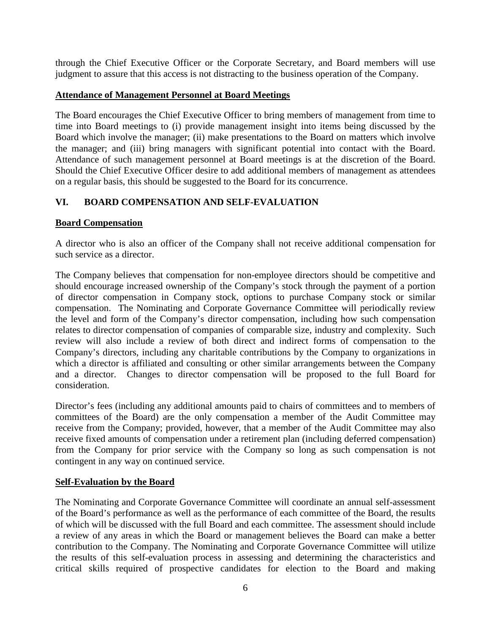through the Chief Executive Officer or the Corporate Secretary, and Board members will use judgment to assure that this access is not distracting to the business operation of the Company.

# **Attendance of Management Personnel at Board Meetings**

The Board encourages the Chief Executive Officer to bring members of management from time to time into Board meetings to (i) provide management insight into items being discussed by the Board which involve the manager; (ii) make presentations to the Board on matters which involve the manager; and (iii) bring managers with significant potential into contact with the Board. Attendance of such management personnel at Board meetings is at the discretion of the Board. Should the Chief Executive Officer desire to add additional members of management as attendees on a regular basis, this should be suggested to the Board for its concurrence.

# **VI. BOARD COMPENSATION AND SELF-EVALUATION**

## **Board Compensation**

A director who is also an officer of the Company shall not receive additional compensation for such service as a director.

The Company believes that compensation for non-employee directors should be competitive and should encourage increased ownership of the Company's stock through the payment of a portion of director compensation in Company stock, options to purchase Company stock or similar compensation. The Nominating and Corporate Governance Committee will periodically review the level and form of the Company's director compensation, including how such compensation relates to director compensation of companies of comparable size, industry and complexity. Such review will also include a review of both direct and indirect forms of compensation to the Company's directors, including any charitable contributions by the Company to organizations in which a director is affiliated and consulting or other similar arrangements between the Company and a director. Changes to director compensation will be proposed to the full Board for consideration.

Director's fees (including any additional amounts paid to chairs of committees and to members of committees of the Board) are the only compensation a member of the Audit Committee may receive from the Company; provided, however, that a member of the Audit Committee may also receive fixed amounts of compensation under a retirement plan (including deferred compensation) from the Company for prior service with the Company so long as such compensation is not contingent in any way on continued service.

### **Self-Evaluation by the Board**

The Nominating and Corporate Governance Committee will coordinate an annual self-assessment of the Board's performance as well as the performance of each committee of the Board, the results of which will be discussed with the full Board and each committee. The assessment should include a review of any areas in which the Board or management believes the Board can make a better contribution to the Company. The Nominating and Corporate Governance Committee will utilize the results of this self-evaluation process in assessing and determining the characteristics and critical skills required of prospective candidates for election to the Board and making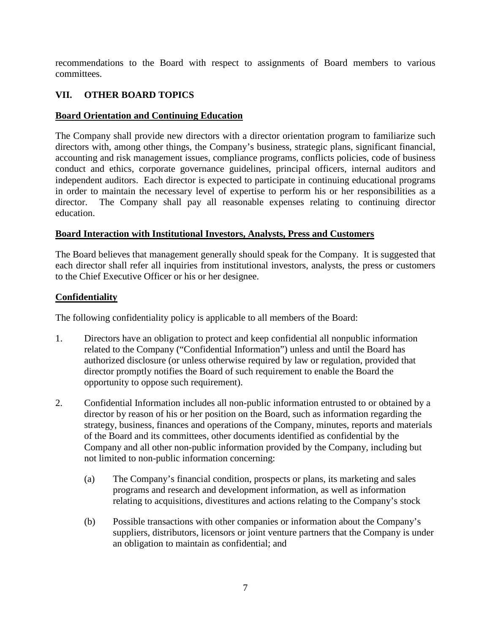recommendations to the Board with respect to assignments of Board members to various committees.

# **VII. OTHER BOARD TOPICS**

# **Board Orientation and Continuing Education**

The Company shall provide new directors with a director orientation program to familiarize such directors with, among other things, the Company's business, strategic plans, significant financial, accounting and risk management issues, compliance programs, conflicts policies, code of business conduct and ethics, corporate governance guidelines, principal officers, internal auditors and independent auditors. Each director is expected to participate in continuing educational programs in order to maintain the necessary level of expertise to perform his or her responsibilities as a director. The Company shall pay all reasonable expenses relating to continuing director education.

## **Board Interaction with Institutional Investors, Analysts, Press and Customers**

The Board believes that management generally should speak for the Company. It is suggested that each director shall refer all inquiries from institutional investors, analysts, the press or customers to the Chief Executive Officer or his or her designee.

## **Confidentiality**

The following confidentiality policy is applicable to all members of the Board:

- 1. Directors have an obligation to protect and keep confidential all nonpublic information related to the Company ("Confidential Information") unless and until the Board has authorized disclosure (or unless otherwise required by law or regulation, provided that director promptly notifies the Board of such requirement to enable the Board the opportunity to oppose such requirement).
- 2. Confidential Information includes all non-public information entrusted to or obtained by a director by reason of his or her position on the Board, such as information regarding the strategy, business, finances and operations of the Company, minutes, reports and materials of the Board and its committees, other documents identified as confidential by the Company and all other non-public information provided by the Company, including but not limited to non-public information concerning:
	- (a) The Company's financial condition, prospects or plans, its marketing and sales programs and research and development information, as well as information relating to acquisitions, divestitures and actions relating to the Company's stock
	- (b) Possible transactions with other companies or information about the Company's suppliers, distributors, licensors or joint venture partners that the Company is under an obligation to maintain as confidential; and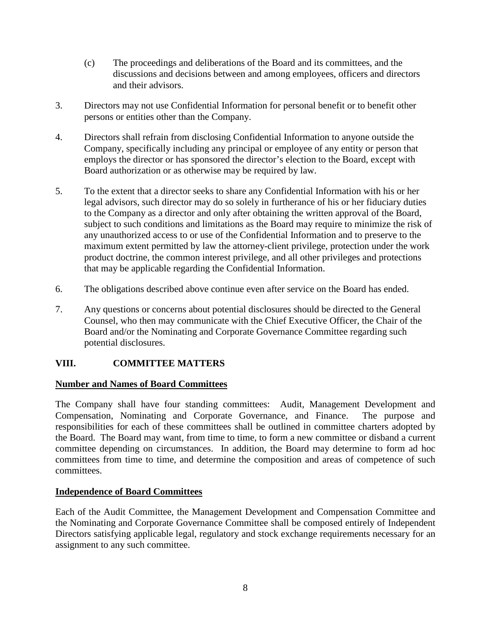- (c) The proceedings and deliberations of the Board and its committees, and the discussions and decisions between and among employees, officers and directors and their advisors.
- 3. Directors may not use Confidential Information for personal benefit or to benefit other persons or entities other than the Company.
- 4. Directors shall refrain from disclosing Confidential Information to anyone outside the Company, specifically including any principal or employee of any entity or person that employs the director or has sponsored the director's election to the Board, except with Board authorization or as otherwise may be required by law.
- 5. To the extent that a director seeks to share any Confidential Information with his or her legal advisors, such director may do so solely in furtherance of his or her fiduciary duties to the Company as a director and only after obtaining the written approval of the Board, subject to such conditions and limitations as the Board may require to minimize the risk of any unauthorized access to or use of the Confidential Information and to preserve to the maximum extent permitted by law the attorney-client privilege, protection under the work product doctrine, the common interest privilege, and all other privileges and protections that may be applicable regarding the Confidential Information.
- 6. The obligations described above continue even after service on the Board has ended.
- 7. Any questions or concerns about potential disclosures should be directed to the General Counsel, who then may communicate with the Chief Executive Officer, the Chair of the Board and/or the Nominating and Corporate Governance Committee regarding such potential disclosures.

# **VIII. COMMITTEE MATTERS**

# **Number and Names of Board Committees**

The Company shall have four standing committees: Audit, Management Development and Compensation, Nominating and Corporate Governance, and Finance. The purpose and responsibilities for each of these committees shall be outlined in committee charters adopted by the Board. The Board may want, from time to time, to form a new committee or disband a current committee depending on circumstances. In addition, the Board may determine to form ad hoc committees from time to time, and determine the composition and areas of competence of such committees.

# **Independence of Board Committees**

Each of the Audit Committee, the Management Development and Compensation Committee and the Nominating and Corporate Governance Committee shall be composed entirely of Independent Directors satisfying applicable legal, regulatory and stock exchange requirements necessary for an assignment to any such committee.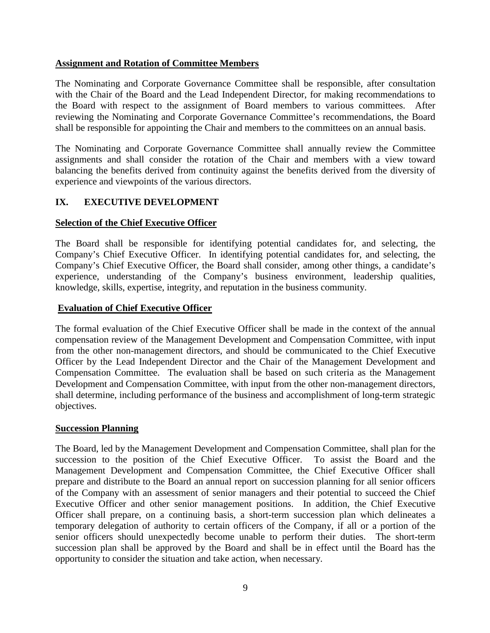### **Assignment and Rotation of Committee Members**

The Nominating and Corporate Governance Committee shall be responsible, after consultation with the Chair of the Board and the Lead Independent Director, for making recommendations to the Board with respect to the assignment of Board members to various committees. After reviewing the Nominating and Corporate Governance Committee's recommendations, the Board shall be responsible for appointing the Chair and members to the committees on an annual basis.

The Nominating and Corporate Governance Committee shall annually review the Committee assignments and shall consider the rotation of the Chair and members with a view toward balancing the benefits derived from continuity against the benefits derived from the diversity of experience and viewpoints of the various directors.

# **IX. EXECUTIVE DEVELOPMENT**

## **Selection of the Chief Executive Officer**

The Board shall be responsible for identifying potential candidates for, and selecting, the Company's Chief Executive Officer. In identifying potential candidates for, and selecting, the Company's Chief Executive Officer, the Board shall consider, among other things, a candidate's experience, understanding of the Company's business environment, leadership qualities, knowledge, skills, expertise, integrity, and reputation in the business community.

## **Evaluation of Chief Executive Officer**

The formal evaluation of the Chief Executive Officer shall be made in the context of the annual compensation review of the Management Development and Compensation Committee, with input from the other non-management directors, and should be communicated to the Chief Executive Officer by the Lead Independent Director and the Chair of the Management Development and Compensation Committee. The evaluation shall be based on such criteria as the Management Development and Compensation Committee, with input from the other non-management directors, shall determine, including performance of the business and accomplishment of long-term strategic objectives.

### **Succession Planning**

The Board, led by the Management Development and Compensation Committee, shall plan for the succession to the position of the Chief Executive Officer. To assist the Board and the Management Development and Compensation Committee, the Chief Executive Officer shall prepare and distribute to the Board an annual report on succession planning for all senior officers of the Company with an assessment of senior managers and their potential to succeed the Chief Executive Officer and other senior management positions. In addition, the Chief Executive Officer shall prepare, on a continuing basis, a short-term succession plan which delineates a temporary delegation of authority to certain officers of the Company, if all or a portion of the senior officers should unexpectedly become unable to perform their duties. The short-term succession plan shall be approved by the Board and shall be in effect until the Board has the opportunity to consider the situation and take action, when necessary.